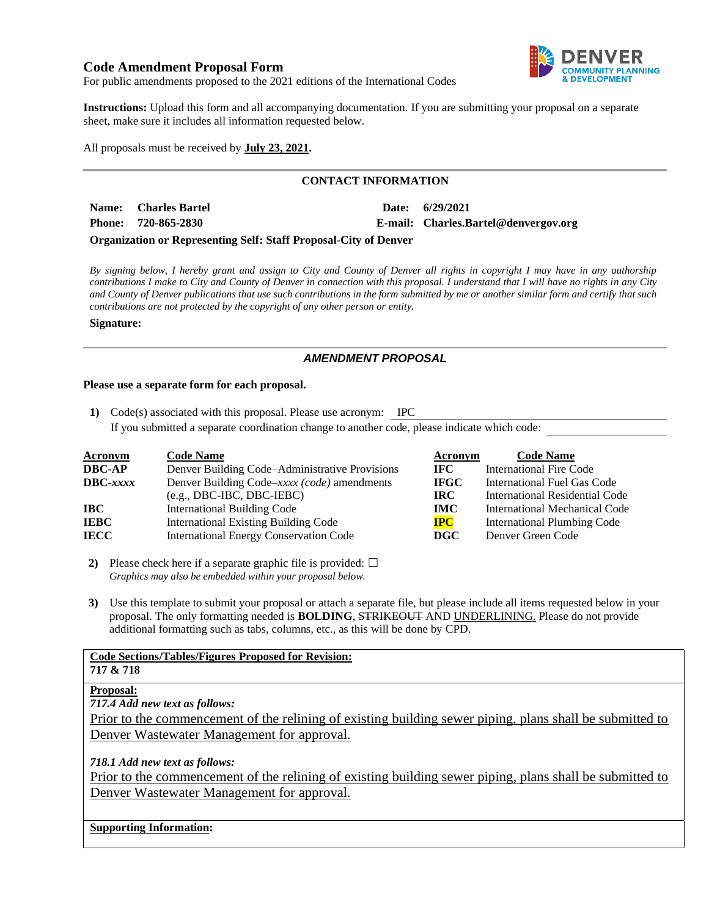# **Code Amendment Proposal Form**



For public amendments proposed to the 2021 editions of the International Codes

**Instructions:** Upload this form and all accompanying documentation. If you are submitting your proposal on a separate sheet, make sure it includes all information requested below.

All proposals must be received by **July 23, 2021.**

### **CONTACT INFORMATION**

| Name: Charles Bartel                                                    | Date: | 6/29/2021                            |
|-------------------------------------------------------------------------|-------|--------------------------------------|
| Phone: 720-865-2830                                                     |       | E-mail: Charles.Bartel@denvergov.org |
| <b>Organization or Representing Self: Staff Proposal-City of Denver</b> |       |                                      |

*By signing below, I hereby grant and assign to City and County of Denver all rights in copyright I may have in any authorship contributions I make to City and County of Denver in connection with this proposal. I understand that I will have no rights in any City and County of Denver publications that use such contributions in the form submitted by me or another similar form and certify that such contributions are not protected by the copyright of any other person or entity.* 

#### **Signature:**

### *AMENDMENT PROPOSAL*

#### **Please use a separate form for each proposal.**

**1)** Code(s) associated with this proposal. Please use acronym: IPC

If you submitted a separate coordination change to another code, please indicate which code:

| <b>Acronym</b> | <b>Code Name</b>                               | Acronym     | <b>Code Name</b>                     |
|----------------|------------------------------------------------|-------------|--------------------------------------|
| DBC-AP         | Denver Building Code–Administrative Provisions | IFC.        | <b>International Fire Code</b>       |
| DBC-xxxx       | Denver Building Code–xxxx (code) amendments    | <b>IFGC</b> | International Fuel Gas Code          |
|                | $(e.g., DBC-IBC, DBC-IEBC)$                    | <b>IRC</b>  | International Residential Code       |
| IBC-           | <b>International Building Code</b>             | <b>IMC</b>  | <b>International Mechanical Code</b> |
| IEBC           | <b>International Existing Building Code</b>    | <b>IPC</b>  | <b>International Plumbing Code</b>   |
| IECC           | <b>International Energy Conservation Code</b>  | DGC         | Denver Green Code                    |

**2)** Please check here if a separate graphic file is provided:  $\Box$ *Graphics may also be embedded within your proposal below.*

**3)** Use this template to submit your proposal or attach a separate file, but please include all items requested below in your proposal. The only formatting needed is **BOLDING**, STRIKEOUT AND UNDERLINING. Please do not provide additional formatting such as tabs, columns, etc., as this will be done by CPD.

| <b>Code Sections/Tables/Figures Proposed for Revision:</b>                                               |
|----------------------------------------------------------------------------------------------------------|
| 717 & 718                                                                                                |
| <b>Proposal:</b>                                                                                         |
| 717.4 Add new text as follows:                                                                           |
| Prior to the commencement of the relining of existing building sewer piping, plans shall be submitted to |
| Denver Wastewater Management for approval.                                                               |
| 718.1 Add new text as follows:                                                                           |
| Prior to the commencement of the relining of existing building sewer piping, plans shall be submitted to |
| Denver Wastewater Management for approval.                                                               |
|                                                                                                          |
| $\alpha$ $\alpha$ $\alpha$ $\alpha$                                                                      |

#### **Supporting Information:**